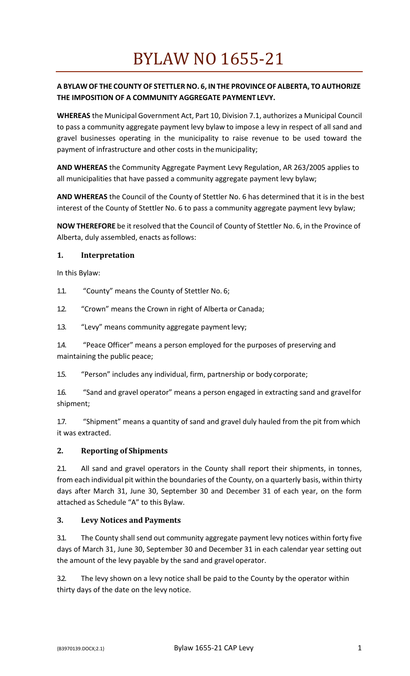## **A BYLAW OF THE COUNTY OF STETTLERNO. 6, INTHE PROVINCEOF ALBERTA, TOAUTHORIZE THE IMPOSITION OF A COMMUNITY AGGREGATE PAYMENT LEVY.**

**WHEREAS** the Municipal Government Act, Part 10, Division 7.1, authorizes a Municipal Council to pass a community aggregate payment levy bylaw to impose a levy in respect of all sand and gravel businesses operating in the municipality to raise revenue to be used toward the payment of infrastructure and other costs in the municipality;

**AND WHEREAS** the Community Aggregate Payment Levy Regulation, AR 263/2005 applies to all municipalities that have passed a community aggregate payment levy bylaw;

**AND WHEREAS** the Council of the County of Stettler No. 6 has determined that it is in the best interest of the County of Stettler No. 6 to pass a community aggregate payment levy bylaw;

**NOW THEREFORE** be it resolved that the Council of County of Stettler No. 6, in the Province of Alberta, duly assembled, enacts asfollows:

#### **1. Interpretation**

In this Bylaw:

- 1.1. "County" means the County of Stettler No. 6;
- 1.2. "Crown" means the Crown in right of Alberta or Canada;
- 1.3. "Levy" means community aggregate payment levy;

1.4. "Peace Officer" means a person employed for the purposes of preserving and maintaining the public peace;

1.5. "Person" includes any individual, firm, partnership or body corporate;

1.6. "Sand and gravel operator" means a person engaged in extracting sand and gravelfor shipment;

1.7. "Shipment" means a quantity of sand and gravel duly hauled from the pit from which it was extracted.

#### **2. Reporting of Shipments**

2.1. All sand and gravel operators in the County shall report their shipments, in tonnes, from each individual pit within the boundaries of the County, on a quarterly basis, within thirty days after March 31, June 30, September 30 and December 31 of each year, on the form attached as Schedule "A" to this Bylaw.

#### **3. Levy Notices and Payments**

3.1. The County shall send out community aggregate payment levy notices within forty five days of March 31, June 30, September 30 and December 31 in each calendar year setting out the amount of the levy payable by the sand and gravel operator.

3.2. The levy shown on a levy notice shall be paid to the County by the operator within thirty days of the date on the levy notice.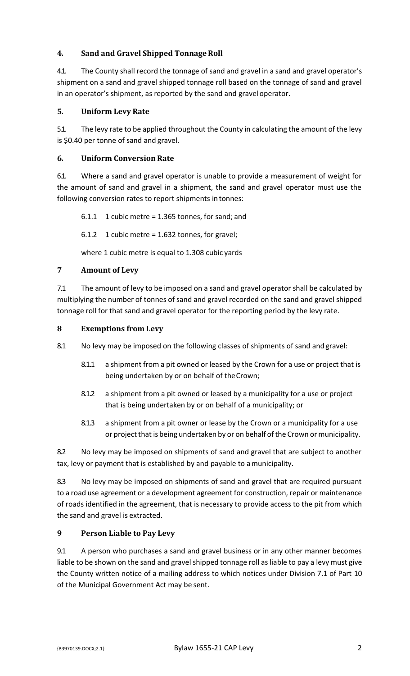## **4.** Sand and Gravel Shipped Tonnage Roll

4.1. The County shall record the tonnage of sand and gravel in a sand and gravel operator's shipment on a sand and gravel shipped tonnage roll based on the tonnage of sand and gravel in an operator's shipment, as reported by the sand and gravel operator.

## **5. Uniform Levy Rate**

5.1. The levy rate to be applied throughout the County in calculating the amount of the levy is \$0.40 per tonne of sand and gravel.

## **6. Uniform Conversion Rate**

6.1. Where a sand and gravel operator is unable to provide a measurement of weight for the amount of sand and gravel in a shipment, the sand and gravel operator must use the following conversion rates to report shipments intonnes:

 $6.1.1$  1 cubic metre = 1.365 tonnes, for sand; and

 $6.1.2$  1 cubic metre = 1.632 tonnes, for gravel;

where 1 cubic metre is equal to 1.308 cubic yards

## **7 Amount of Levy**

7.1 The amount of levy to be imposed on a sand and gravel operator shall be calculated by multiplying the number of tonnes of sand and gravel recorded on the sand and gravel shipped tonnage roll for that sand and gravel operator for the reporting period by the levy rate.

## **8 Exemptions from Levy**

8.1 No levy may be imposed on the following classes of shipments of sand and gravel:

- 8.1.1 a shipment from a pit owned or leased by the Crown for a use or project that is being undertaken by or on behalf of theCrown;
- 8.1.2 a shipment from a pit owned or leased by a municipality for a use or project that is being undertaken by or on behalf of a municipality; or
- 8.1.3 a shipment from a pit owner or lease by the Crown or a municipality for a use or project that is being undertaken by or on behalf of the Crown or municipality.

8.2 No levy may be imposed on shipments of sand and gravel that are subject to another tax, levy or payment that is established by and payable to amunicipality.

8.3 No levy may be imposed on shipments of sand and gravel that are required pursuant to a road use agreement or a development agreement for construction, repair or maintenance of roads identified in the agreement, that is necessary to provide access to the pit from which the sand and gravel is extracted.

## **9 Person Liable to Pay Levy**

9.1 A person who purchases a sand and gravel business or in any other manner becomes liable to be shown on the sand and gravel shipped tonnage roll as liable to pay a levy must give the County written notice of a mailing address to which notices under Division 7.1 of Part 10 of the Municipal Government Act may be sent.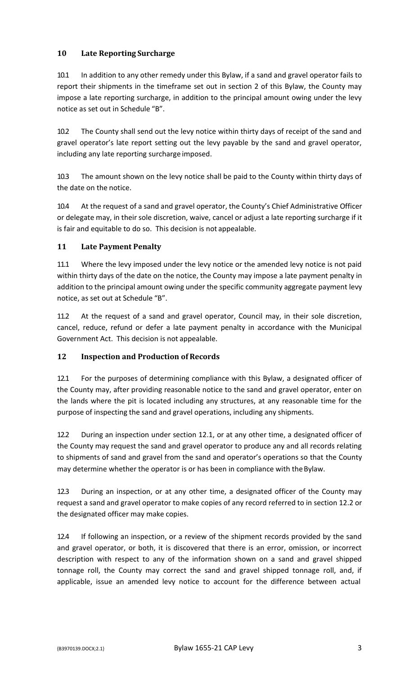## **10 Late Reporting Surcharge**

10.1 In addition to any other remedy under this Bylaw, if a sand and gravel operator fails to report their shipments in the timeframe set out in section 2 of this Bylaw, the County may impose a late reporting surcharge, in addition to the principal amount owing under the levy notice as set out in Schedule "B".

10.2 The County shall send out the levy notice within thirty days of receipt of the sand and gravel operator's late report setting out the levy payable by the sand and gravel operator, including any late reporting surcharge imposed.

10.3 The amount shown on the levy notice shall be paid to the County within thirty days of the date on the notice.

10.4 At the request of a sand and gravel operator, the County's Chief Administrative Officer or delegate may, in their sole discretion, waive, cancel or adjust a late reporting surcharge if it is fair and equitable to do so. This decision is not appealable.

## **11 Late Payment Penalty**

11.1 Where the levy imposed under the levy notice or the amended levy notice is not paid within thirty days of the date on the notice, the County may impose a late payment penalty in addition to the principal amount owing under the specific community aggregate payment levy notice, as set out at Schedule "B".

11.2 At the request of a sand and gravel operator, Council may, in their sole discretion, cancel, reduce, refund or defer a late payment penalty in accordance with the Municipal Government Act. This decision is not appealable.

#### **12 Inspection and Production of Records**

12.1 For the purposes of determining compliance with this Bylaw, a designated officer of the County may, after providing reasonable notice to the sand and gravel operator, enter on the lands where the pit is located including any structures, at any reasonable time for the purpose of inspecting the sand and gravel operations, including any shipments.

12.2 During an inspection under section 12.1, or at any other time, a designated officer of the County may request the sand and gravel operator to produce any and all records relating to shipments of sand and gravel from the sand and operator's operations so that the County may determine whether the operator is or has been in compliance with theBylaw.

12.3 During an inspection, or at any other time, a designated officer of the County may request a sand and gravel operator to make copies of any record referred to in section 12.2 or the designated officer may make copies.

12.4 If following an inspection, or a review of the shipment records provided by the sand and gravel operator, or both, it is discovered that there is an error, omission, or incorrect description with respect to any of the information shown on a sand and gravel shipped tonnage roll, the County may correct the sand and gravel shipped tonnage roll, and, if applicable, issue an amended levy notice to account for the difference between actual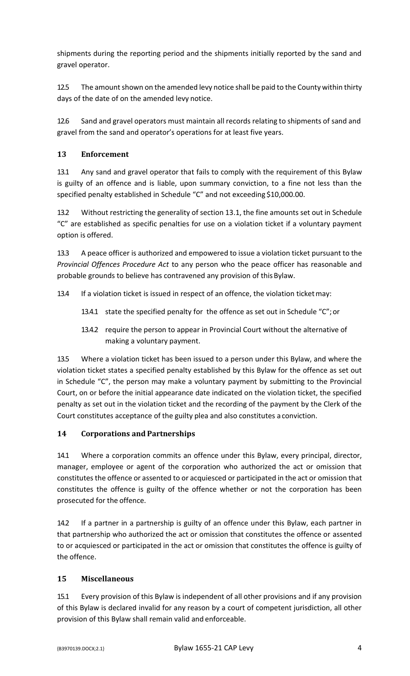shipments during the reporting period and the shipments initially reported by the sand and gravel operator.

12.5 The amount shown on the amended levy notice shall be paid to the County within thirty days of the date of on the amended levy notice.

12.6 Sand and gravel operators must maintain all records relating to shipments of sand and gravel from the sand and operator's operations for at least five years.

### **13 Enforcement**

13.1 Any sand and gravel operator that fails to comply with the requirement of this Bylaw is guilty of an offence and is liable, upon summary conviction, to a fine not less than the specified penalty established in Schedule "C" and not exceeding \$10,000.00.

13.2 Without restricting the generality of section 13.1, the fine amounts set out in Schedule "C" are established as specific penalties for use on a violation ticket if a voluntary payment option is offered.

13.3 A peace officer is authorized and empowered to issue a violation ticket pursuant to the *Provincial Offences Procedure Act* to any person who the peace officer has reasonable and probable grounds to believe has contravened any provision of thisBylaw.

13.4 If a violation ticket is issued in respect of an offence, the violation ticketmay:

- 13.4.1 state the specified penalty for the offence as set out in Schedule "C";or
- 13.4.2 require the person to appear in Provincial Court without the alternative of making a voluntary payment.

13.5 Where a violation ticket has been issued to a person under this Bylaw, and where the violation ticket states a specified penalty established by this Bylaw for the offence as set out in Schedule "C", the person may make a voluntary payment by submitting to the Provincial Court, on or before the initial appearance date indicated on the violation ticket, the specified penalty as set out in the violation ticket and the recording of the payment by the Clerk of the Court constitutes acceptance of the guilty plea and also constitutes a conviction.

## **14 Corporations and Partnerships**

14.1 Where a corporation commits an offence under this Bylaw, every principal, director, manager, employee or agent of the corporation who authorized the act or omission that constitutes the offence or assented to or acquiesced or participated in the act or omission that constitutes the offence is guilty of the offence whether or not the corporation has been prosecuted for the offence.

14.2 If a partner in a partnership is guilty of an offence under this Bylaw, each partner in that partnership who authorized the act or omission that constitutes the offence or assented to or acquiesced or participated in the act or omission that constitutes the offence is guilty of the offence.

#### **15 Miscellaneous**

15.1 Every provision of this Bylaw is independent of all other provisions and if any provision of this Bylaw is declared invalid for any reason by a court of competent jurisdiction, all other provision of this Bylaw shall remain valid and enforceable.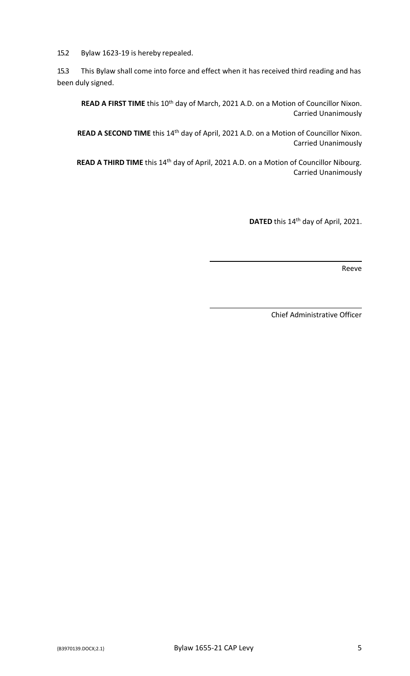15.2 Bylaw 1623-19 is hereby repealed.

15.3 This Bylaw shall come into force and effect when it has received third reading and has been duly signed.

**READ A FIRST TIME** this 10<sup>th</sup> day of March, 2021 A.D. on a Motion of Councillor Nixon. Carried Unanimously

**READ A SECOND TIME** this 14<sup>th</sup> day of April, 2021 A.D. on a Motion of Councillor Nixon. Carried Unanimously

**READ A THIRD TIME** this 14th day of April, 2021 A.D. on a Motion of Councillor Nibourg. Carried Unanimously

DATED this 14<sup>th</sup> day of April, 2021.

Reeve

Chief Administrative Officer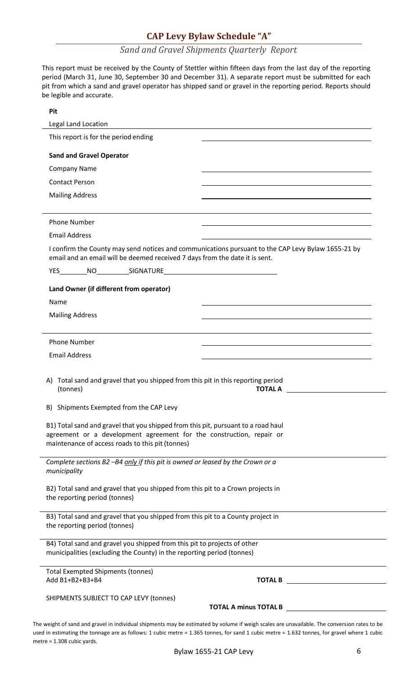## **CAP Levy Bylaw Schedule "A"**

## *Sand and Gravel Shipments Quarterly Report*

This report must be received by the County of Stettler within fifteen days from the last day of the reporting period (March 31, June 30, September 30 and December 31). A separate report must be submitted for each pit from which a sand and gravel operator has shipped sand or gravel in the reporting period. Reports should be legible and accurate.

| Pit                                                                                                                                                                                                           |                                                                                                    |
|---------------------------------------------------------------------------------------------------------------------------------------------------------------------------------------------------------------|----------------------------------------------------------------------------------------------------|
| Legal Land Location                                                                                                                                                                                           | <u> 1980 - John Stein, Amerikaansk politiker († 1908)</u>                                          |
| This report is for the period ending                                                                                                                                                                          |                                                                                                    |
| <b>Sand and Gravel Operator</b>                                                                                                                                                                               |                                                                                                    |
| <b>Company Name</b>                                                                                                                                                                                           |                                                                                                    |
| <b>Contact Person</b>                                                                                                                                                                                         |                                                                                                    |
| <b>Mailing Address</b>                                                                                                                                                                                        |                                                                                                    |
| <b>Phone Number</b>                                                                                                                                                                                           |                                                                                                    |
| <b>Email Address</b>                                                                                                                                                                                          |                                                                                                    |
| email and an email will be deemed received 7 days from the date it is sent.                                                                                                                                   | I confirm the County may send notices and communications pursuant to the CAP Levy Bylaw 1655-21 by |
|                                                                                                                                                                                                               |                                                                                                    |
| Land Owner (if different from operator)                                                                                                                                                                       |                                                                                                    |
| Name                                                                                                                                                                                                          |                                                                                                    |
| <b>Mailing Address</b>                                                                                                                                                                                        |                                                                                                    |
|                                                                                                                                                                                                               |                                                                                                    |
| <b>Phone Number</b>                                                                                                                                                                                           |                                                                                                    |
| <b>Email Address</b>                                                                                                                                                                                          |                                                                                                    |
| A) Total sand and gravel that you shipped from this pit in this reporting period<br>(tonnes)<br><b>TOTAL A</b>                                                                                                |                                                                                                    |
| B) Shipments Exempted from the CAP Levy                                                                                                                                                                       |                                                                                                    |
| B1) Total sand and gravel that you shipped from this pit, pursuant to a road haul<br>agreement or a development agreement for the construction, repair or<br>maintenance of access roads to this pit (tonnes) |                                                                                                    |
| Complete sections B2 -B4 only if this pit is owned or leased by the Crown or a<br>municipality                                                                                                                |                                                                                                    |
| B2) Total sand and gravel that you shipped from this pit to a Crown projects in<br>the reporting period (tonnes)                                                                                              |                                                                                                    |
| B3) Total sand and gravel that you shipped from this pit to a County project in<br>the reporting period (tonnes)                                                                                              |                                                                                                    |
| B4) Total sand and gravel you shipped from this pit to projects of other<br>municipalities (excluding the County) in the reporting period (tonnes)                                                            |                                                                                                    |
| <b>Total Exempted Shipments (tonnes)</b><br>Add B1+B2+B3+B4                                                                                                                                                   | <b>TOTAL B</b>                                                                                     |
| SHIPMENTS SUBJECT TO CAP LEVY (tonnes)                                                                                                                                                                        |                                                                                                    |
|                                                                                                                                                                                                               | <b>TOTAL A minus TOTAL B</b>                                                                       |

The weight of sand and gravel in individual shipments may be estimated by volume if weigh scales are unavailable. The conversion rates to be used in estimating the tonnage are as follows: 1 cubic metre = 1.365 tonnes, for sand 1 cubic metre = 1.632 tonnes, for gravel where 1 cubic metre = 1.308 cubic yards.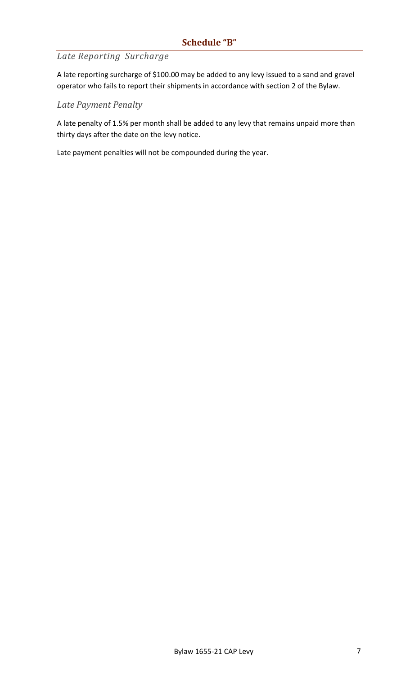# *Late Reporting Surcharge*

A late reporting surcharge of \$100.00 may be added to any levy issued to a sand and gravel operator who fails to report their shipments in accordance with section 2 of the Bylaw.

## *Late Payment Penalty*

A late penalty of 1.5% per month shall be added to any levy that remains unpaid more than thirty days after the date on the levy notice.

Late payment penalties will not be compounded during the year.